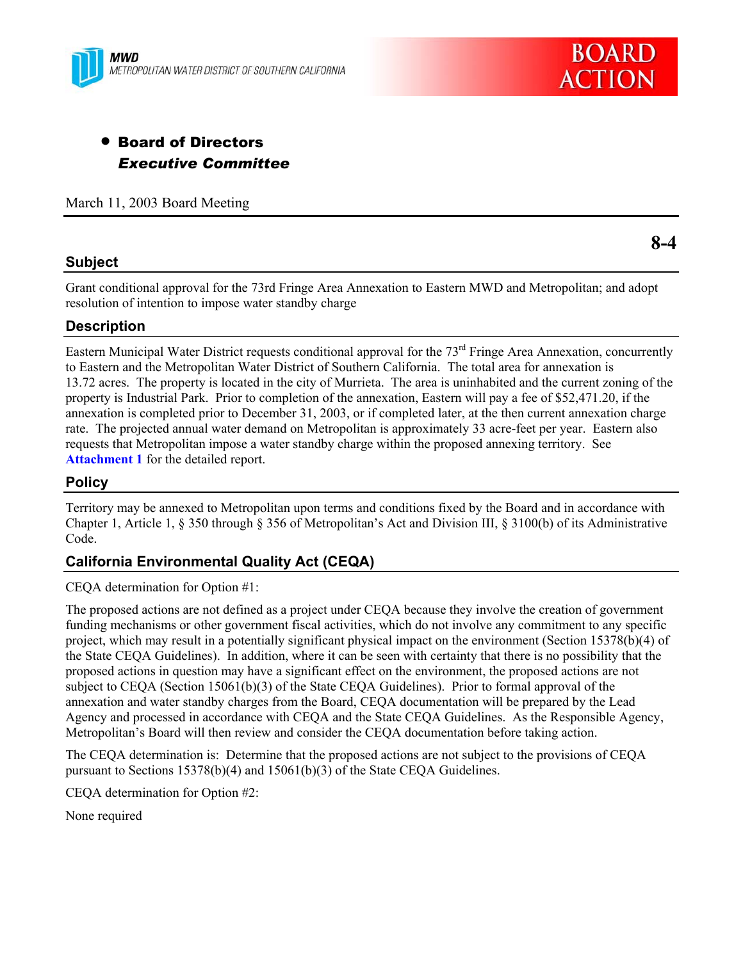



# **• Board of Directors** *Executive Committee*

March 11, 2003 Board Meeting

## **Subject**

**8-4** 

Grant conditional approval for the 73rd Fringe Area Annexation to Eastern MWD and Metropolitan; and adopt resolution of intention to impose water standby charge

## **Description**

Eastern Municipal Water District requests conditional approval for the  $73<sup>rd</sup>$  Fringe Area Annexation, concurrently to Eastern and the Metropolitan Water District of Southern California. The total area for annexation is 13.72 acres. The property is located in the city of Murrieta. The area is uninhabited and the current zoning of the property is Industrial Park. Prior to completion of the annexation, Eastern will pay a fee of \$52,471.20, if the annexation is completed prior to December 31, 2003, or if completed later, at the then current annexation charge rate. The projected annual water demand on Metropolitan is approximately 33 acre-feet per year. Eastern also requests that Metropolitan impose a water standby charge within the proposed annexing territory. See **Attachment 1** for the detailed report.

# **Policy**

Territory may be annexed to Metropolitan upon terms and conditions fixed by the Board and in accordance with Chapter 1, Article 1, § 350 through § 356 of Metropolitan's Act and Division III, § 3100(b) of its Administrative Code.

# **California Environmental Quality Act (CEQA)**

CEQA determination for Option #1:

The proposed actions are not defined as a project under CEQA because they involve the creation of government funding mechanisms or other government fiscal activities, which do not involve any commitment to any specific project, which may result in a potentially significant physical impact on the environment (Section 15378(b)(4) of the State CEQA Guidelines). In addition, where it can be seen with certainty that there is no possibility that the proposed actions in question may have a significant effect on the environment, the proposed actions are not subject to CEQA (Section 15061(b)(3) of the State CEQA Guidelines). Prior to formal approval of the annexation and water standby charges from the Board, CEQA documentation will be prepared by the Lead Agency and processed in accordance with CEQA and the State CEQA Guidelines. As the Responsible Agency, Metropolitan's Board will then review and consider the CEQA documentation before taking action.

The CEQA determination is: Determine that the proposed actions are not subject to the provisions of CEQA pursuant to Sections 15378(b)(4) and 15061(b)(3) of the State CEQA Guidelines.

CEQA determination for Option #2:

None required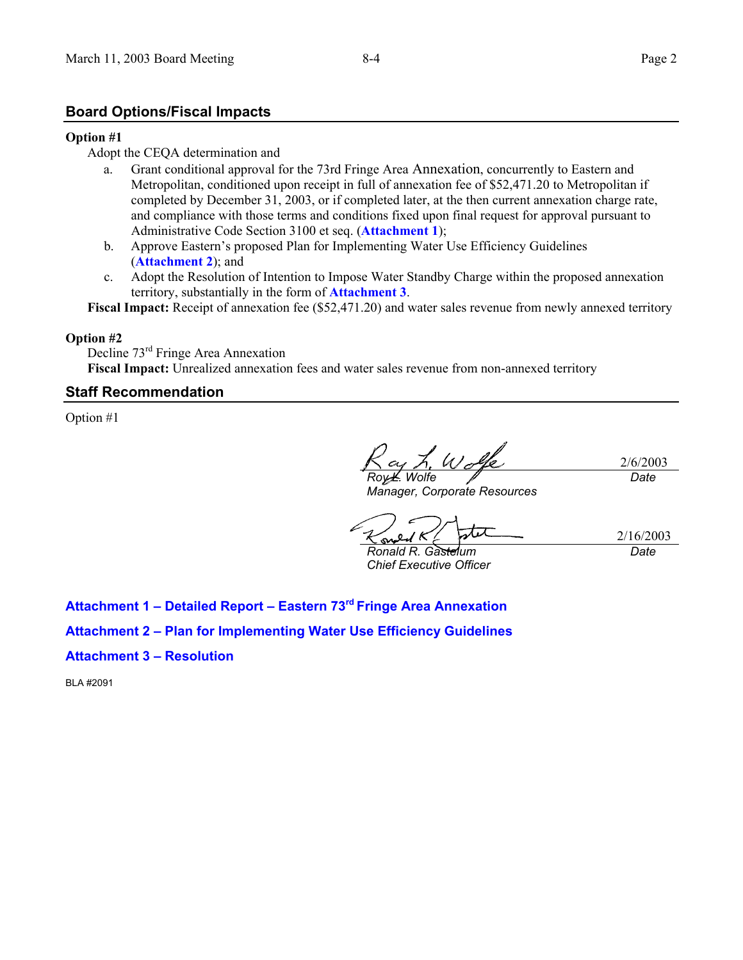## **Board Options/Fiscal Impacts**

#### **Option #1**

#### Adopt the CEQA determination and

- a. Grant conditional approval for the 73rd Fringe Area Annexation, concurrently to Eastern and Metropolitan, conditioned upon receipt in full of annexation fee of \$52,471.20 to Metropolitan if completed by December 31, 2003, or if completed later, at the then current annexation charge rate, and compliance with those terms and conditions fixed upon final request for approval pursuant to Administrative Code Section 3100 et seq. (**Attachment 1**);
- b. Approve Eastern's proposed Plan for Implementing Water Use Efficiency Guidelines (**Attachment 2**); and
- c. Adopt the Resolution of Intention to Impose Water Standby Charge within the proposed annexation territory, substantially in the form of **Attachment 3**.

**Fiscal Impact:** Receipt of annexation fee (\$52,471.20) and water sales revenue from newly annexed territory

#### **Option #2**

Decline 73rd Fringe Area Annexation **Fiscal Impact:** Unrealized annexation fees and water sales revenue from non-annexed territory

#### **Staff Recommendation**

Option #1

2/6/2003 *Roy L. Wolfe Date*

*Manager, Corporate Resources* 

2/16/2003 *Ronald R. Gastelum* 

*Chief Executive Officer* 

*Date*

**Attachment 1 – Detailed Report – Eastern 73rd Fringe Area Annexation**

**Attachment 2 – Plan for Implementing Water Use Efficiency Guidelines** 

#### **Attachment 3 – Resolution**

BLA #2091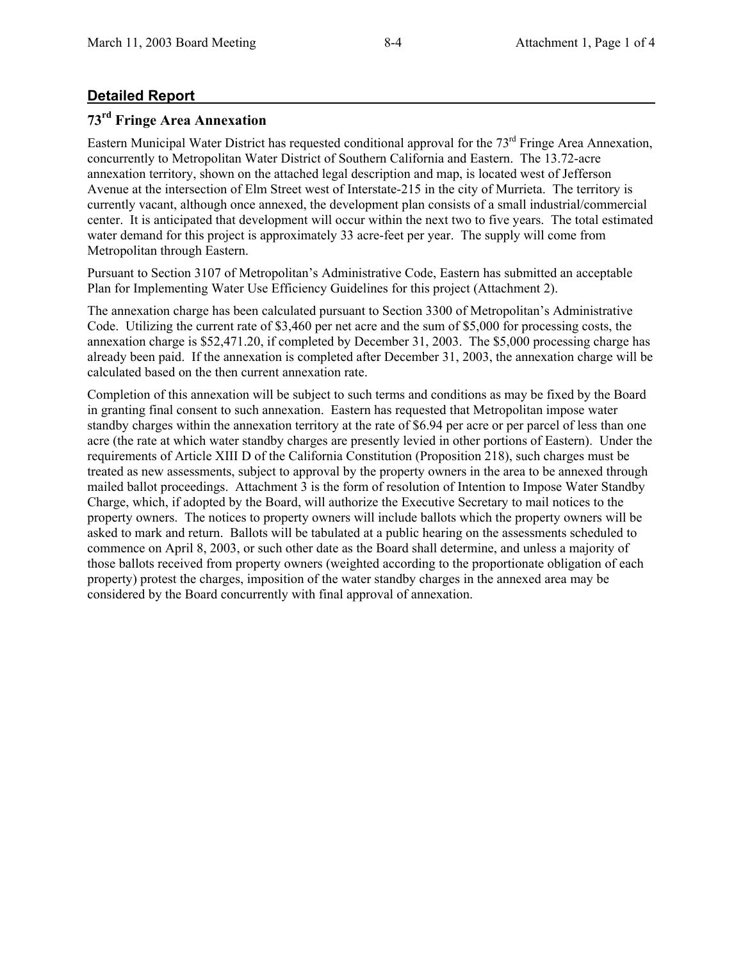# **Detailed Report**

# **73rd Fringe Area Annexation**

Eastern Municipal Water District has requested conditional approval for the  $73<sup>rd</sup>$  Fringe Area Annexation, concurrently to Metropolitan Water District of Southern California and Eastern. The 13.72-acre annexation territory, shown on the attached legal description and map, is located west of Jefferson Avenue at the intersection of Elm Street west of Interstate-215 in the city of Murrieta. The territory is currently vacant, although once annexed, the development plan consists of a small industrial/commercial center. It is anticipated that development will occur within the next two to five years. The total estimated water demand for this project is approximately 33 acre-feet per year. The supply will come from Metropolitan through Eastern.

Pursuant to Section 3107 of Metropolitan's Administrative Code, Eastern has submitted an acceptable Plan for Implementing Water Use Efficiency Guidelines for this project (Attachment 2).

The annexation charge has been calculated pursuant to Section 3300 of Metropolitan's Administrative Code. Utilizing the current rate of \$3,460 per net acre and the sum of \$5,000 for processing costs, the annexation charge is \$52,471.20, if completed by December 31, 2003. The \$5,000 processing charge has already been paid. If the annexation is completed after December 31, 2003, the annexation charge will be calculated based on the then current annexation rate.

Completion of this annexation will be subject to such terms and conditions as may be fixed by the Board in granting final consent to such annexation. Eastern has requested that Metropolitan impose water standby charges within the annexation territory at the rate of \$6.94 per acre or per parcel of less than one acre (the rate at which water standby charges are presently levied in other portions of Eastern). Under the requirements of Article XIII D of the California Constitution (Proposition 218), such charges must be treated as new assessments, subject to approval by the property owners in the area to be annexed through mailed ballot proceedings. Attachment 3 is the form of resolution of Intention to Impose Water Standby Charge, which, if adopted by the Board, will authorize the Executive Secretary to mail notices to the property owners. The notices to property owners will include ballots which the property owners will be asked to mark and return. Ballots will be tabulated at a public hearing on the assessments scheduled to commence on April 8, 2003, or such other date as the Board shall determine, and unless a majority of those ballots received from property owners (weighted according to the proportionate obligation of each property) protest the charges, imposition of the water standby charges in the annexed area may be considered by the Board concurrently with final approval of annexation.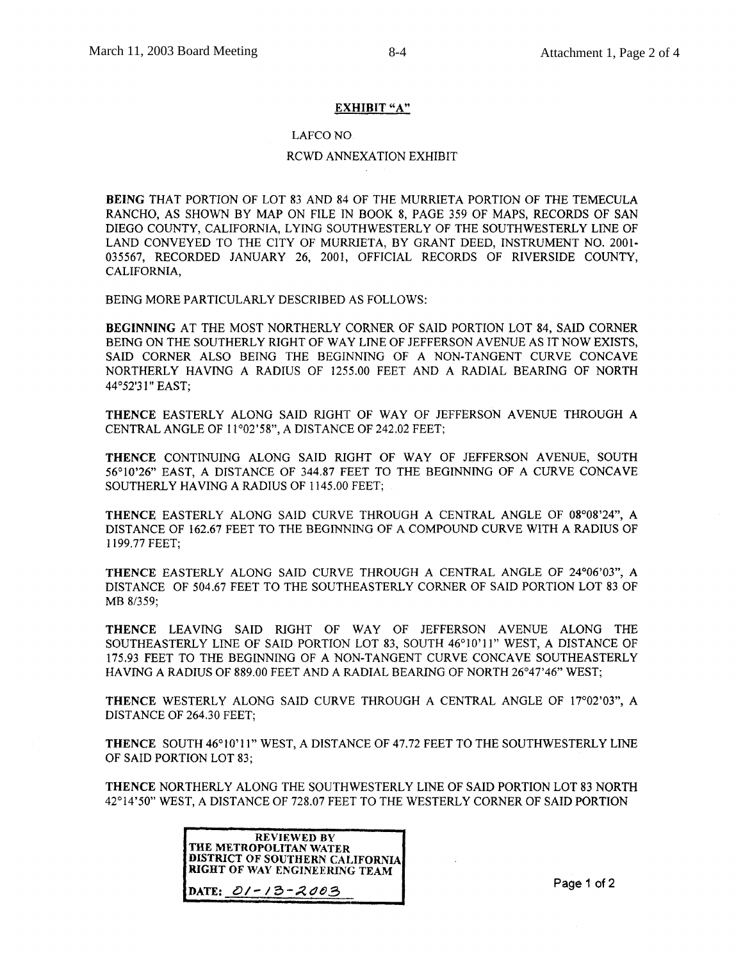#### **EXHIBIT "A"**

#### **LAFCO NO.**

#### RCWD ANNEXATION EXHIBIT

BEING THAT PORTION OF LOT 83 AND 84 OF THE MURRIETA PORTION OF THE TEMECULA RANCHO, AS SHOWN BY MAP ON FILE IN BOOK 8, PAGE 359 OF MAPS, RECORDS OF SAN DIEGO COUNTY, CALIFORNIA, LYING SOUTHWESTERLY OF THE SOUTHWESTERLY LINE OF LAND CONVEYED TO THE CITY OF MURRIETA. BY GRANT DEED. INSTRUMENT NO. 2001-035567, RECORDED JANUARY 26, 2001, OFFICIAL RECORDS OF RIVERSIDE COUNTY, CALIFORNIA,

BEING MORE PARTICULARLY DESCRIBED AS FOLLOWS:

BEGINNING AT THE MOST NORTHERLY CORNER OF SAID PORTION LOT 84, SAID CORNER BEING ON THE SOUTHERLY RIGHT OF WAY LINE OF JEFFERSON AVENUE AS IT NOW EXISTS, SAID CORNER ALSO BEING THE BEGINNING OF A NON-TANGENT CURVE CONCAVE NORTHERLY HAVING A RADIUS OF 1255.00 FEET AND A RADIAL BEARING OF NORTH 44°52'31" EAST;

THENCE EASTERLY ALONG SAID RIGHT OF WAY OF JEFFERSON AVENUE THROUGH A CENTRAL ANGLE OF 11°02'58". A DISTANCE OF 242.02 FEET:

THENCE CONTINUING ALONG SAID RIGHT OF WAY OF JEFFERSON AVENUE, SOUTH 56°10'26" EAST, A DISTANCE OF 344.87 FEET TO THE BEGINNING OF A CURVE CONCAVE SOUTHERLY HAVING A RADIUS OF 1145.00 FEET;

THENCE EASTERLY ALONG SAID CURVE THROUGH A CENTRAL ANGLE OF 08°08'24", A DISTANCE OF 162.67 FEET TO THE BEGINNING OF A COMPOUND CURVE WITH A RADIUS OF 1199.77 FEET:

THENCE EASTERLY ALONG SAID CURVE THROUGH A CENTRAL ANGLE OF 24°06'03", A DISTANCE OF 504.67 FEET TO THE SOUTHEASTERLY CORNER OF SAID PORTION LOT 83 OF MB 8/359;

THENCE LEAVING SAID RIGHT OF WAY OF JEFFERSON AVENUE ALONG THE SOUTHEASTERLY LINE OF SAID PORTION LOT 83, SOUTH 46°10'11" WEST, A DISTANCE OF 175.93 FEET TO THE BEGINNING OF A NON-TANGENT CURVE CONCAVE SOUTHEASTERLY HAVING A RADIUS OF 889.00 FEET AND A RADIAL BEARING OF NORTH 26°47'46" WEST;

THENCE WESTERLY ALONG SAID CURVE THROUGH A CENTRAL ANGLE OF 17°02'03", A DISTANCE OF 264.30 FEET;

**THENCE SOUTH 46°10'11" WEST, A DISTANCE OF 47.72 FEET TO THE SOUTHWESTERLY LINE** OF SAID PORTION LOT 83:

THENCE NORTHERLY ALONG THE SOUTHWESTERLY LINE OF SAID PORTION LOT 83 NORTH 42°14'50" WEST, A DISTANCE OF 728.07 FEET TO THE WESTERLY CORNER OF SAID PORTION

| <b>REVIEWED BY</b>                     |
|----------------------------------------|
| THE METROPOLITAN WATER                 |
| <b>DISTRICT OF SOUTHERN CALIFORNIA</b> |
| RIGHT OF WAY ENGINEERING TEAM          |
|                                        |
| DATE: 01-13-2003                       |
|                                        |

Page 1 of 2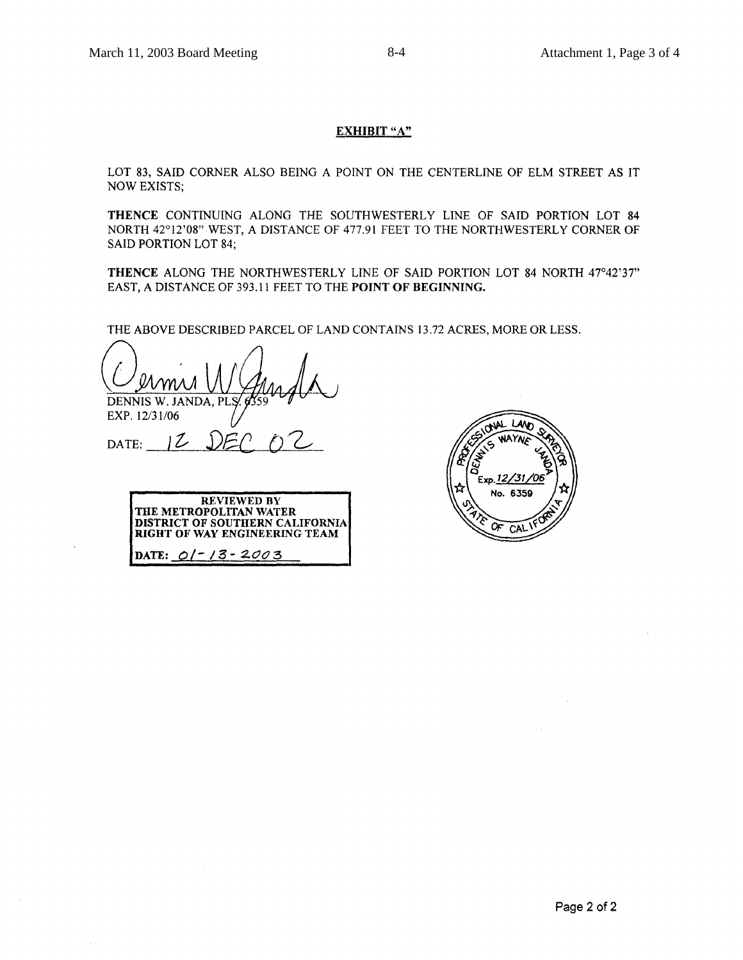#### **EXHIBIT "A"**

LOT 83, SAID CORNER ALSO BEING A POINT ON THE CENTERLINE OF ELM STREET AS IT **NOW EXISTS;** 

THENCE CONTINUING ALONG THE SOUTHWESTERLY LINE OF SAID PORTION LOT 84 NORTH 42°12'08" WEST, A DISTANCE OF 477.91 FEET TO THE NORTHWESTERLY CORNER OF **SAID PORTION LOT 84:** 

THENCE ALONG THE NORTHWESTERLY LINE OF SAID PORTION LOT 84 NORTH 47°42'37" EAST, A DISTANCE OF 393.11 FEET TO THE POINT OF BEGINNING.

THE ABOVE DESCRIBED PARCEL OF LAND CONTAINS 13.72 ACRES, MORE OR LESS.

DENNIS W. JANDA, PI

EXP. 12/31/06

DATE:  $12$   $DE$ 

REVIEWED BY<br>THE METROPOLITAN WATER **DISTRICT OF SOUTHERN CALIFORNIA** RIGHT OF WAY ENGINEERING TEAM DATE:  $Q/-/3 - 2003$ 

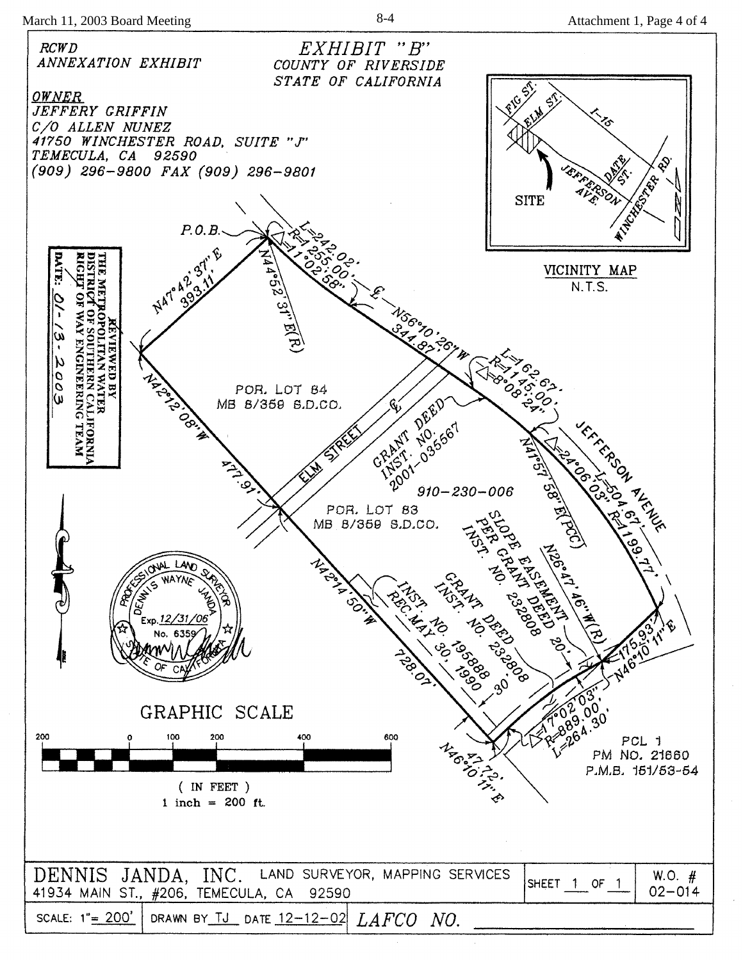March 11, 2003 Board Meeting 8-4 8-4 Attachment 1, Page 4 of 4

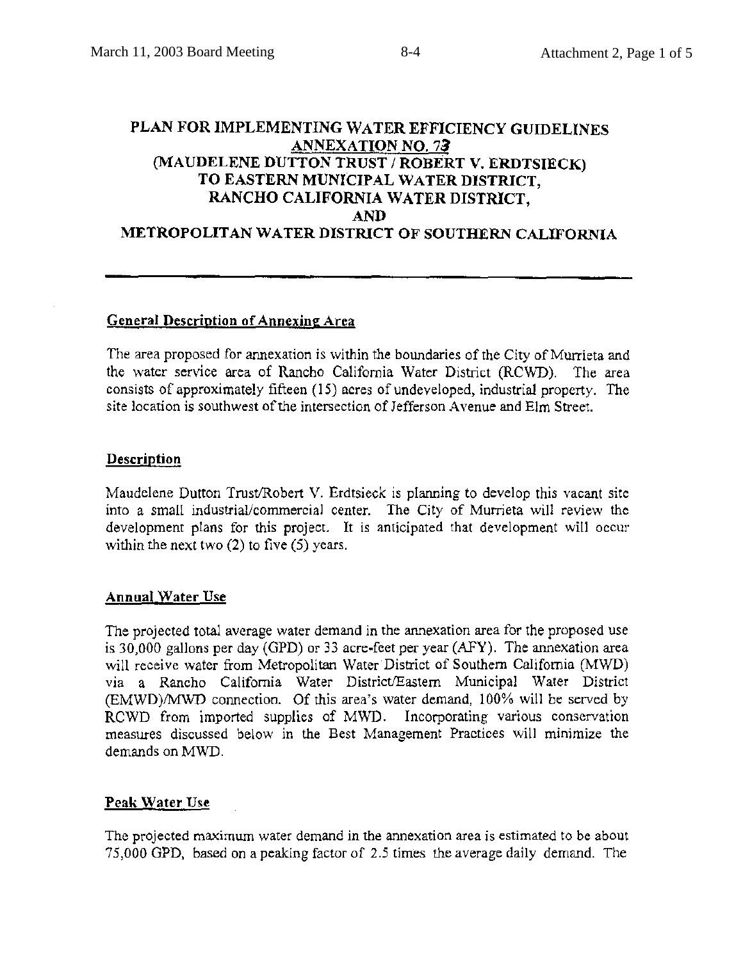# PLAN FOR IMPLEMENTING WATER EFFICIENCY GUIDELINES **ANNEXATION NO. 73** (MAUDELENE DUTTON TRUST / ROBERT V. ERDTSIECK) TO EASTERN MUNICIPAL WATER DISTRICT, RANCHO CALIFORNIA WATER DISTRICT, **AND** METROPOLITAN WATER DISTRICT OF SOUTHERN CALIFORNIA

## **General Description of Annexing Area**

The area proposed for annexation is within the boundaries of the City of Murrieta and the water service area of Rancho California Water District (RCWD). The area consists of approximately fifteen (15) acres of undeveloped, industrial property. The site location is southwest of the intersection of Jefferson Avenue and Elm Street.

# **Description**

Maudelene Dutton Trust/Robert V. Erdtsieck is planning to develop this vacant site into a small industrial/commercial center. The City of Murrieta will review the development plans for this project. It is anticipated that development will occur within the next two  $(2)$  to five  $(5)$  years.

## **Annual Water Use**

The projected total average water demand in the annexation area for the proposed use is 30,000 gallons per day (GPD) or 33 acre-feet per year (AFY). The annexation area will receive water from Metropolitan Water District of Southern California (MWD) via a Rancho California Water District/Eastern Municipal Water District (EMWD)/MWD connection. Of this area's water demand, 100% will be served by RCWD from imported supplies of MWD. Incorporating various conservation measures discussed below in the Best Management Practices will minimize the demands on MWD.

# Peak Water Use

The projected maximum water demand in the annexation area is estimated to be about 75,000 GPD, based on a peaking factor of 2.5 times the average daily demand. The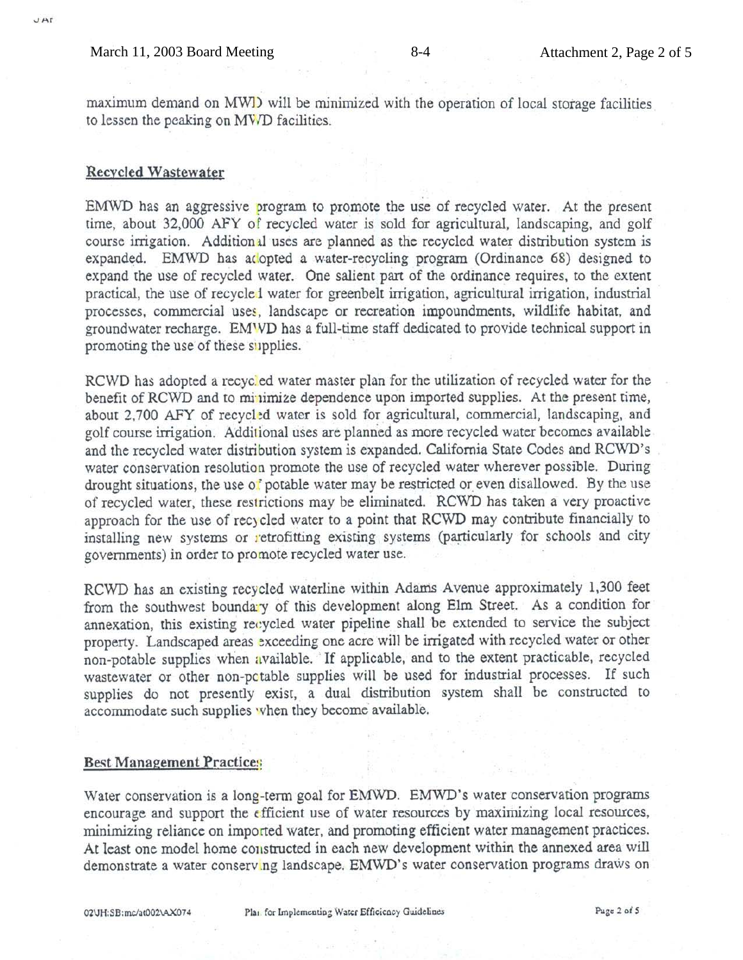maximum demand on MWD will be minimized with the operation of local storage facilities to lessen the peaking on MV/D facilities.

#### **Recycled Wastewater**

EMWD has an aggressive program to promote the use of recycled water. At the present time, about 32,000 AFY of recycled water is sold for agricultural, landscaping, and golf course irrigation. Additional uses are planned as the recycled water distribution system is expanded. EMWD has adopted a water-recycling program (Ordinance 68) designed to expand the use of recycled water. One salient part of the ordinance requires, to the extent practical, the use of recycled water for greenbelt irrigation, agricultural irrigation, industrial processes, commercial uses, landscape or recreation impoundments, wildlife habitat, and groundwater recharge. EMWD has a full-time staff dedicated to provide technical support in promoting the use of these supplies.

RCWD has adopted a recycled water master plan for the utilization of recycled water for the benefit of RCWD and to minimize dependence upon imported supplies. At the present time, about 2,700 AFY of recycled water is sold for agricultural, commercial, landscaping, and golf course irrigation. Additional uses are planned as more recycled water becomes available and the recycled water distribution system is expanded. California State Codes and RCWD's water conservation resolution promote the use of recycled water wherever possible. During drought situations, the use of potable water may be restricted or even disallowed. By the use of recycled water, these restrictions may be eliminated. RCWD has taken a very proactive approach for the use of recycled water to a point that RCWD may contribute financially to installing new systems or retrofitting existing systems (particularly for schools and city governments) in order to promote recycled water use.

RCWD has an existing recycled waterline within Adams Avenue approximately 1,300 feet from the southwest boundary of this development along Elm Street. As a condition for annexation, this existing recycled water pipeline shall be extended to service the subject property. Landscaped areas exceeding one acre will be irrigated with recycled water or other non-potable supplies when available. If applicable, and to the extent practicable, recycled wastewater or other non-potable supplies will be used for industrial processes. If such supplies do not presently exist, a dual distribution system shall be constructed to accommodate such supplies when they become available.

#### **Best Management Practices**

Water conservation is a long-term goal for EMWD. EMWD's water conservation programs encourage and support the efficient use of water resources by maximizing local resources, minimizing reliance on imported water, and promoting efficient water management practices. At least one model home constructed in each new development within the annexed area will demonstrate a water conserving landscape. EMWD's water conservation programs draws on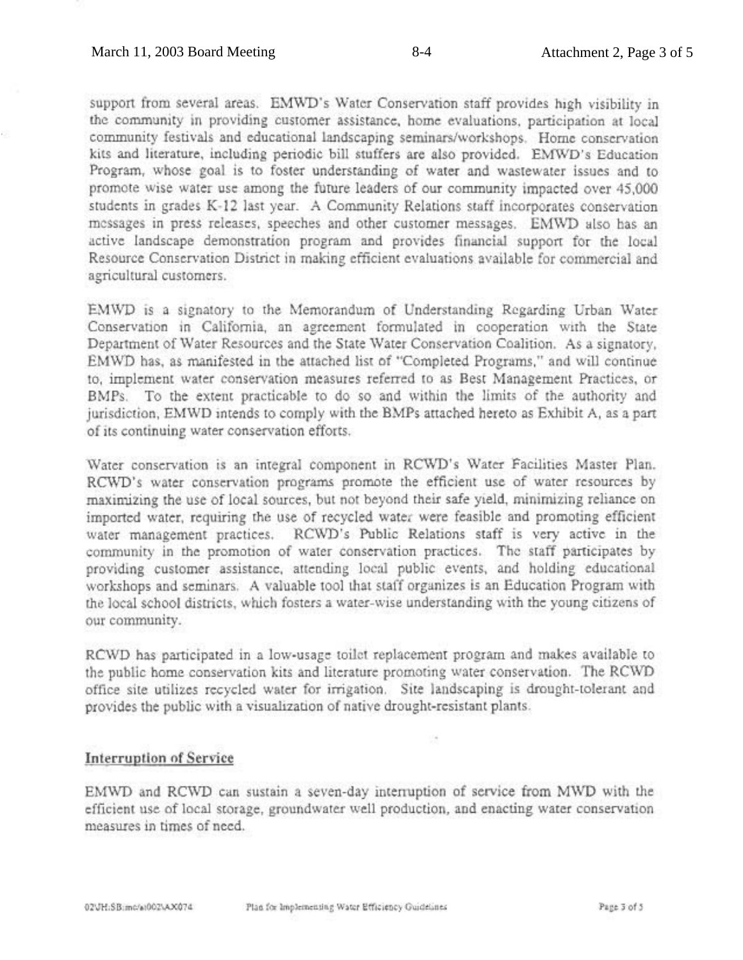support from several areas. EMWD's Water Conservation staff provides high visibility in the community in providing customer assistance, home evaluations, participation at local community festivals and educational landscaping seminars/workshops. Home conservation kits and literature, including periodic bill stuffers are also provided. EMWD's Education Program, whose goal is to foster understanding of water and wastewater issues and to promote wise water use among the future leaders of our community impacted over 45,000 students in grades K-12 last year. A Community Relations staff incorporates conservation messages in press releases, speeches and other customer messages. EMWD also has an active landscape demonstration program and provides financial support for the local Resource Conservation District in making efficient evaluations available for commercial and agricultural customers.

EMWD is a signatory to the Memorandum of Understanding Regarding Urban Water Conservation in California, an agreement formulated in cooperation with the State Department of Water Resources and the State Water Conservation Coalition. As a signatory, EMWD has, as manifested in the attached list of "Completed Programs," and will continue to, implement water conservation measures referred to as Best Management Practices, or BMPs. To the extent practicable to do so and within the limits of the authority and jurisdiction, EMWD intends to comply with the BMPs attached hereto as Exhibit A, as a part of its continuing water conservation efforts.

Water conservation is an integral component in RCWD's Water Facilities Master Plan. RCWD's water conservation programs promote the efficient use of water resources by maximizing the use of local sources, but not beyond their safe yield, minimizing reliance on imported water, requiring the use of recycled water were feasible and promoting efficient water management practices. RCWD's Public Relations staff is very active in the community in the promotion of water conservation practices. The staff participates by providing customer assistance, attending local public events, and holding educational workshops and seminars. A valuable tool that staff organizes is an Education Program with the local school districts, which fosters a water-wise understanding with the young citizens of our community.

RCWD has participated in a low-usage toilet replacement program and makes available to the public home conservation kits and literature promoting water conservation. The RCWD office site utilizes recycled water for irrigation. Site landscaping is drought-tolerant and provides the public with a visualization of native drought-resistant plants.

## **Interruption of Service**

EMWD and RCWD can sustain a seven-day interruption of service from MWD with the efficient use of local storage, groundwater well production, and enacting water conservation measures in times of need.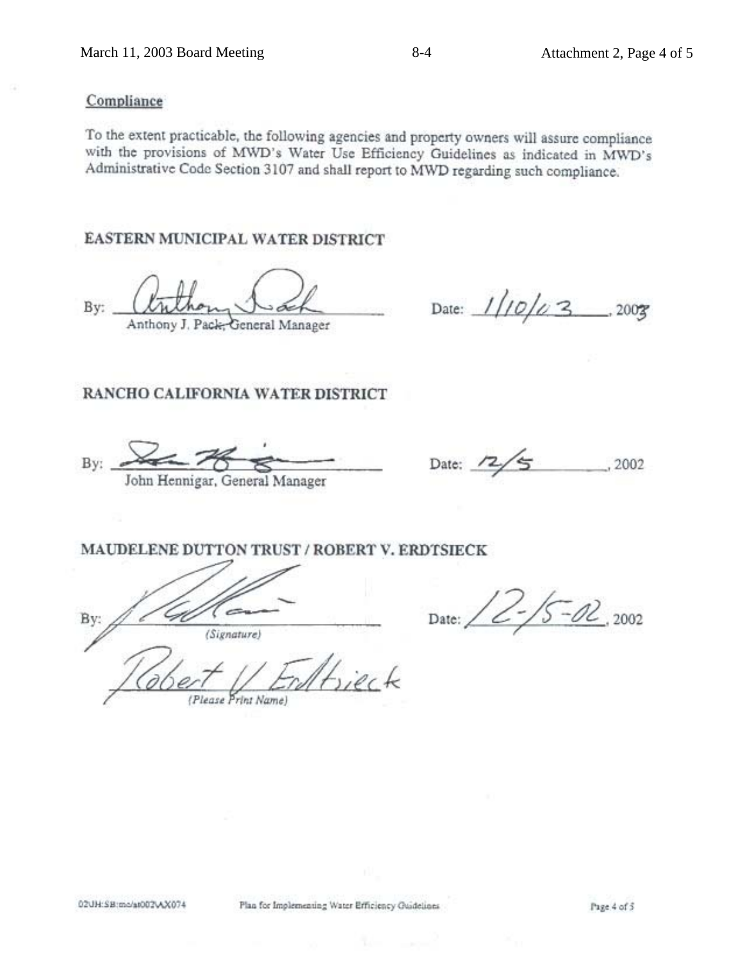# Compliance

To the extent practicable, the following agencies and property owners will assure compliance with the provisions of MWD's Water Use Efficiency Guidelines as indicated in MWD's Administrative Code Section 3107 and shall report to MWD regarding such compliance.

# **EASTERN MUNICIPAL WATER DISTRICT**

By: Anthony J. Pack, General Manager

Date:  $1/10/23$ , 2003

# RANCHO CALIFORNIA WATER DISTRICT

Bv: John Hennigar, General Manager

Date: .2002

# MAUDELENE DUTTON TRUST / ROBERT V. ERDTSIECK

Bv: (Signature)

 $5 - 02$ , 2002 Date:

(Please Print Name)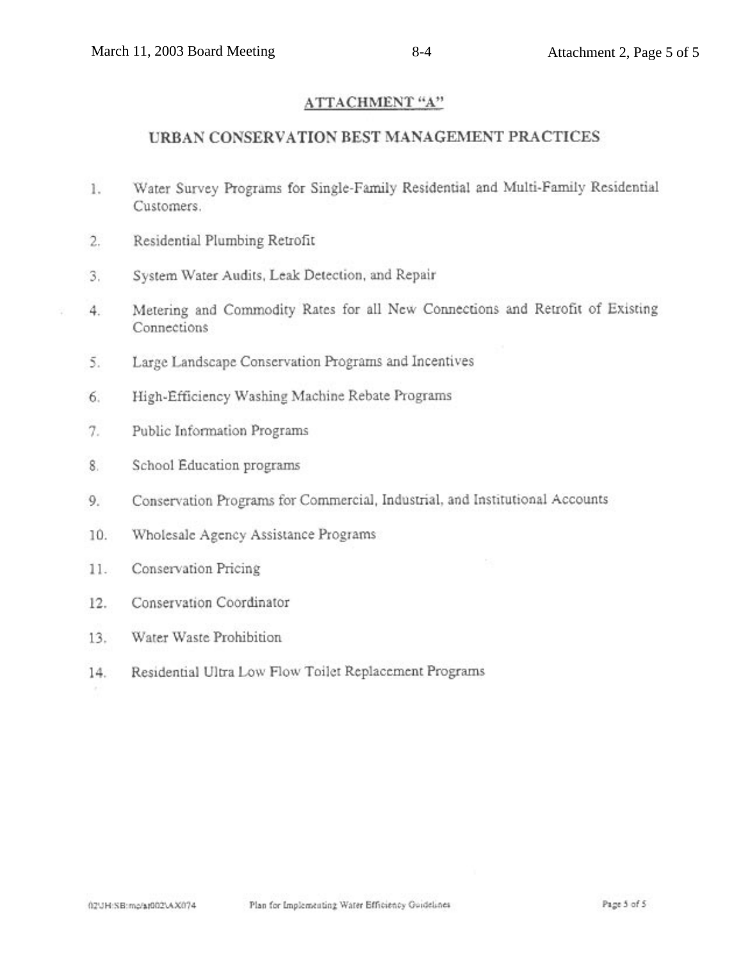# ATTACHMENT "A"

# URBAN CONSERVATION BEST MANAGEMENT PRACTICES

- Water Survey Programs for Single-Family Residential and Multi-Family Residential 1. Customers.
- Residential Plumbing Retrofit  $2.$
- 3. System Water Audits, Leak Detection, and Repair
- Metering and Commodity Rates for all New Connections and Retrofit of Existing  $4.$ Connections
	- $\overline{5}$ . Large Landscape Conservation Programs and Incentives
	- High-Efficiency Washing Machine Rebate Programs 6.
	- Public Information Programs  $\tau$ .
	- 8. School Education programs
	- 9. Conservation Programs for Commercial, Industrial, and Institutional Accounts
	- Wholesale Agency Assistance Programs 10.
	- $11.$ Conservation Pricing
	- Conservation Coordinator 12.
	- Water Waste Prohibition  $13.$
	- Residential Ultra Low Flow Toilet Replacement Programs  $14.$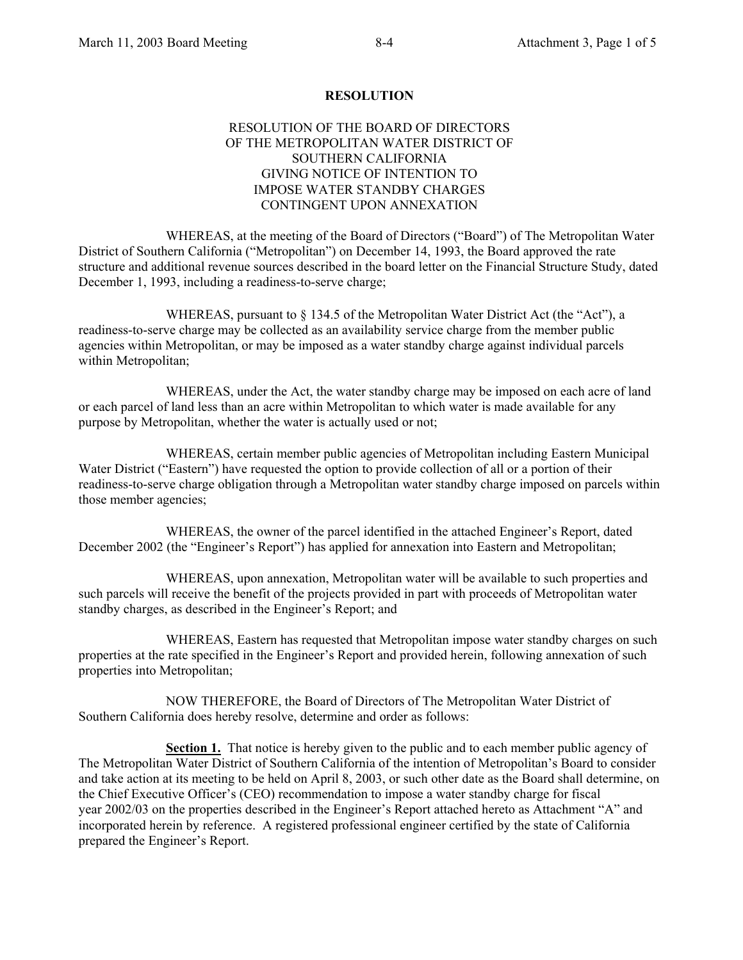#### **RESOLUTION**

#### RESOLUTION OF THE BOARD OF DIRECTORS OF THE METROPOLITAN WATER DISTRICT OF SOUTHERN CALIFORNIA GIVING NOTICE OF INTENTION TO IMPOSE WATER STANDBY CHARGES CONTINGENT UPON ANNEXATION

 WHEREAS, at the meeting of the Board of Directors ("Board") of The Metropolitan Water District of Southern California ("Metropolitan") on December 14, 1993, the Board approved the rate structure and additional revenue sources described in the board letter on the Financial Structure Study, dated December 1, 1993, including a readiness-to-serve charge;

 WHEREAS, pursuant to § 134.5 of the Metropolitan Water District Act (the "Act"), a readiness-to-serve charge may be collected as an availability service charge from the member public agencies within Metropolitan, or may be imposed as a water standby charge against individual parcels within Metropolitan;

 WHEREAS, under the Act, the water standby charge may be imposed on each acre of land or each parcel of land less than an acre within Metropolitan to which water is made available for any purpose by Metropolitan, whether the water is actually used or not;

 WHEREAS, certain member public agencies of Metropolitan including Eastern Municipal Water District ("Eastern") have requested the option to provide collection of all or a portion of their readiness-to-serve charge obligation through a Metropolitan water standby charge imposed on parcels within those member agencies;

 WHEREAS, the owner of the parcel identified in the attached Engineer's Report, dated December 2002 (the "Engineer's Report") has applied for annexation into Eastern and Metropolitan;

 WHEREAS, upon annexation, Metropolitan water will be available to such properties and such parcels will receive the benefit of the projects provided in part with proceeds of Metropolitan water standby charges, as described in the Engineer's Report; and

 WHEREAS, Eastern has requested that Metropolitan impose water standby charges on such properties at the rate specified in the Engineer's Report and provided herein, following annexation of such properties into Metropolitan;

 NOW THEREFORE, the Board of Directors of The Metropolitan Water District of Southern California does hereby resolve, determine and order as follows:

**Section 1.** That notice is hereby given to the public and to each member public agency of The Metropolitan Water District of Southern California of the intention of Metropolitan's Board to consider and take action at its meeting to be held on April 8, 2003, or such other date as the Board shall determine, on the Chief Executive Officer's (CEO) recommendation to impose a water standby charge for fiscal year 2002/03 on the properties described in the Engineer's Report attached hereto as Attachment "A" and incorporated herein by reference. A registered professional engineer certified by the state of California prepared the Engineer's Report.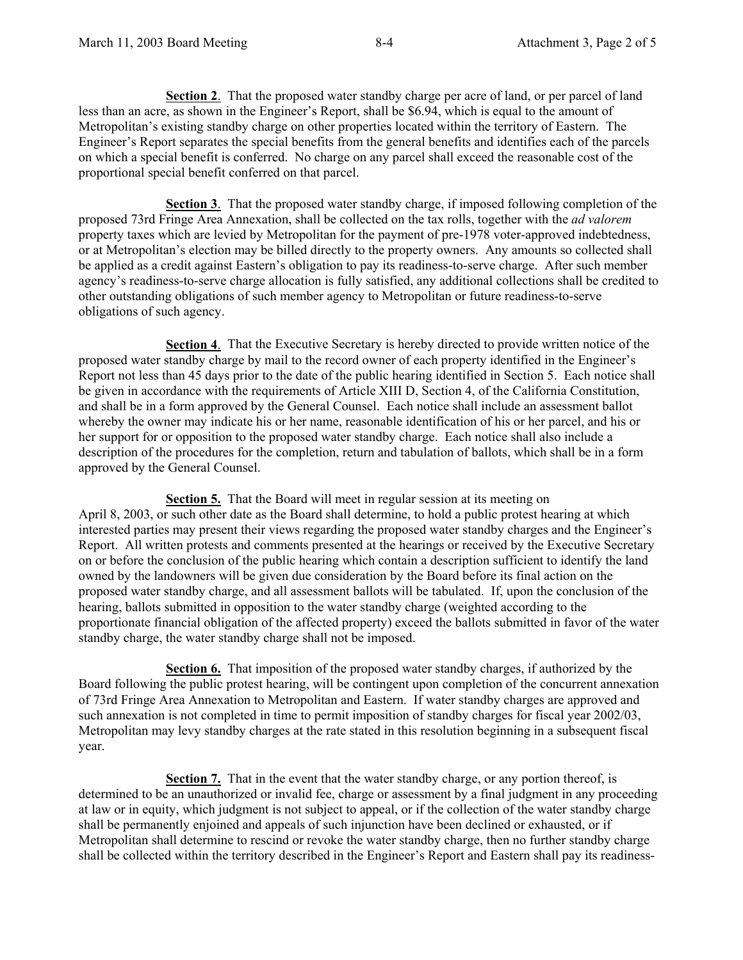**Section 2**. That the proposed water standby charge per acre of land, or per parcel of land less than an acre, as shown in the Engineer's Report, shall be \$6.94, which is equal to the amount of Metropolitan's existing standby charge on other properties located within the territory of Eastern. The Engineer's Report separates the special benefits from the general benefits and identifies each of the parcels on which a special benefit is conferred. No charge on any parcel shall exceed the reasonable cost of the proportional special benefit conferred on that parcel.

**Section 3**. That the proposed water standby charge, if imposed following completion of the proposed 73rd Fringe Area Annexation, shall be collected on the tax rolls, together with the *ad valorem* property taxes which are levied by Metropolitan for the payment of pre-1978 voter-approved indebtedness, or at Metropolitan's election may be billed directly to the property owners. Any amounts so collected shall be applied as a credit against Eastern's obligation to pay its readiness-to-serve charge. After such member agency's readiness-to-serve charge allocation is fully satisfied, any additional collections shall be credited to other outstanding obligations of such member agency to Metropolitan or future readiness-to-serve obligations of such agency.

**Section 4**. That the Executive Secretary is hereby directed to provide written notice of the proposed water standby charge by mail to the record owner of each property identified in the Engineer's Report not less than 45 days prior to the date of the public hearing identified in Section 5. Each notice shall be given in accordance with the requirements of Article XIII D, Section 4, of the California Constitution, and shall be in a form approved by the General Counsel. Each notice shall include an assessment ballot whereby the owner may indicate his or her name, reasonable identification of his or her parcel, and his or her support for or opposition to the proposed water standby charge. Each notice shall also include a description of the procedures for the completion, return and tabulation of ballots, which shall be in a form approved by the General Counsel.

**Section 5.** That the Board will meet in regular session at its meeting on April 8, 2003, or such other date as the Board shall determine, to hold a public protest hearing at which interested parties may present their views regarding the proposed water standby charges and the Engineer's Report. All written protests and comments presented at the hearings or received by the Executive Secretary on or before the conclusion of the public hearing which contain a description sufficient to identify the land owned by the landowners will be given due consideration by the Board before its final action on the proposed water standby charge, and all assessment ballots will be tabulated. If, upon the conclusion of the hearing, ballots submitted in opposition to the water standby charge (weighted according to the proportionate financial obligation of the affected property) exceed the ballots submitted in favor of the water standby charge, the water standby charge shall not be imposed.

**Section 6.** That imposition of the proposed water standby charges, if authorized by the Board following the public protest hearing, will be contingent upon completion of the concurrent annexation of 73rd Fringe Area Annexation to Metropolitan and Eastern. If water standby charges are approved and such annexation is not completed in time to permit imposition of standby charges for fiscal year 2002/03, Metropolitan may levy standby charges at the rate stated in this resolution beginning in a subsequent fiscal year.

**Section 7.** That in the event that the water standby charge, or any portion thereof, is determined to be an unauthorized or invalid fee, charge or assessment by a final judgment in any proceeding at law or in equity, which judgment is not subject to appeal, or if the collection of the water standby charge shall be permanently enjoined and appeals of such injunction have been declined or exhausted, or if Metropolitan shall determine to rescind or revoke the water standby charge, then no further standby charge shall be collected within the territory described in the Engineer's Report and Eastern shall pay its readiness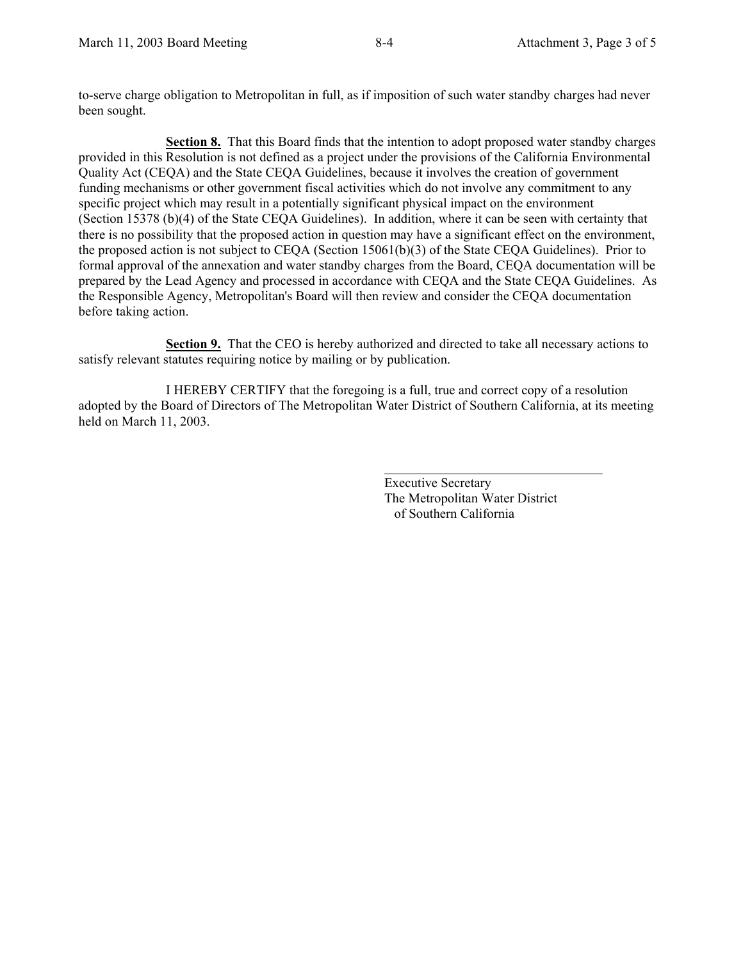to-serve charge obligation to Metropolitan in full, as if imposition of such water standby charges had never been sought.

**Section 8.** That this Board finds that the intention to adopt proposed water standby charges provided in this Resolution is not defined as a project under the provisions of the California Environmental Quality Act (CEQA) and the State CEQA Guidelines, because it involves the creation of government funding mechanisms or other government fiscal activities which do not involve any commitment to any specific project which may result in a potentially significant physical impact on the environment (Section 15378 (b)(4) of the State CEQA Guidelines). In addition, where it can be seen with certainty that there is no possibility that the proposed action in question may have a significant effect on the environment, the proposed action is not subject to CEQA (Section 15061(b)(3) of the State CEQA Guidelines). Prior to formal approval of the annexation and water standby charges from the Board, CEQA documentation will be prepared by the Lead Agency and processed in accordance with CEQA and the State CEQA Guidelines. As the Responsible Agency, Metropolitan's Board will then review and consider the CEQA documentation before taking action.

**Section 9.** That the CEO is hereby authorized and directed to take all necessary actions to satisfy relevant statutes requiring notice by mailing or by publication.

 I HEREBY CERTIFY that the foregoing is a full, true and correct copy of a resolution adopted by the Board of Directors of The Metropolitan Water District of Southern California, at its meeting held on March 11, 2003.

> Executive Secretary The Metropolitan Water District of Southern California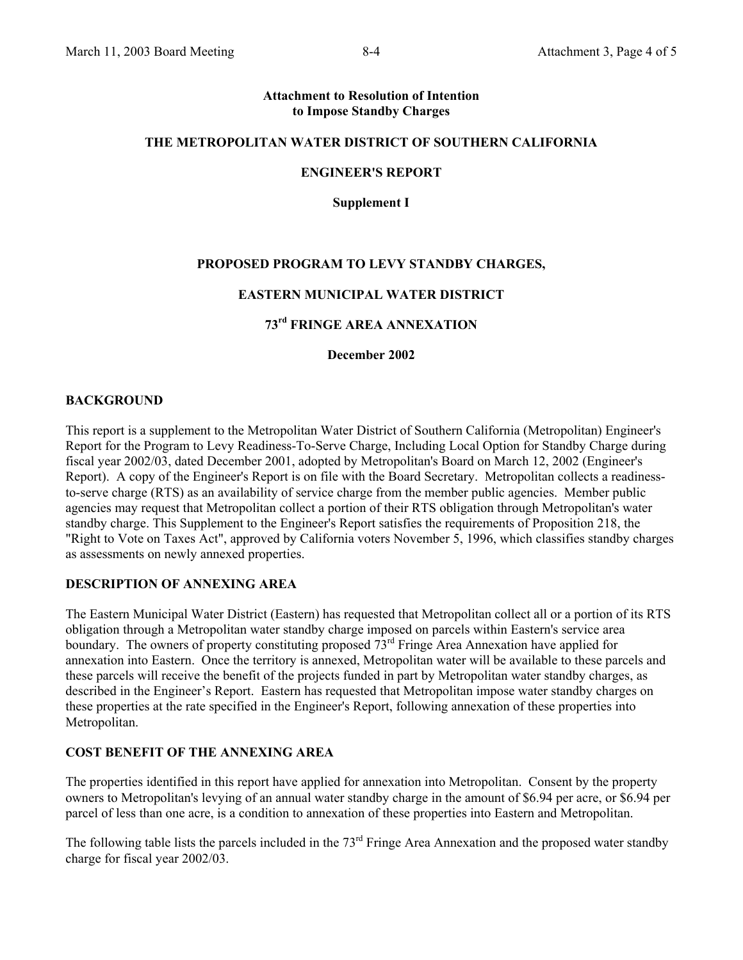#### **Attachment to Resolution of Intention to Impose Standby Charges**

#### **THE METROPOLITAN WATER DISTRICT OF SOUTHERN CALIFORNIA**

#### **ENGINEER'S REPORT**

**Supplement I** 

#### **PROPOSED PROGRAM TO LEVY STANDBY CHARGES,**

#### **EASTERN MUNICIPAL WATER DISTRICT**

# **73rd FRINGE AREA ANNEXATION**

**December 2002** 

#### **BACKGROUND**

This report is a supplement to the Metropolitan Water District of Southern California (Metropolitan) Engineer's Report for the Program to Levy Readiness-To-Serve Charge, Including Local Option for Standby Charge during fiscal year 2002/03, dated December 2001, adopted by Metropolitan's Board on March 12, 2002 (Engineer's Report). A copy of the Engineer's Report is on file with the Board Secretary. Metropolitan collects a readinessto-serve charge (RTS) as an availability of service charge from the member public agencies. Member public agencies may request that Metropolitan collect a portion of their RTS obligation through Metropolitan's water standby charge. This Supplement to the Engineer's Report satisfies the requirements of Proposition 218, the "Right to Vote on Taxes Act", approved by California voters November 5, 1996, which classifies standby charges as assessments on newly annexed properties.

#### **DESCRIPTION OF ANNEXING AREA**

The Eastern Municipal Water District (Eastern) has requested that Metropolitan collect all or a portion of its RTS obligation through a Metropolitan water standby charge imposed on parcels within Eastern's service area boundary. The owners of property constituting proposed  $73<sup>rd</sup>$  Fringe Area Annexation have applied for annexation into Eastern. Once the territory is annexed, Metropolitan water will be available to these parcels and these parcels will receive the benefit of the projects funded in part by Metropolitan water standby charges, as described in the Engineer's Report. Eastern has requested that Metropolitan impose water standby charges on these properties at the rate specified in the Engineer's Report, following annexation of these properties into Metropolitan.

#### **COST BENEFIT OF THE ANNEXING AREA**

The properties identified in this report have applied for annexation into Metropolitan. Consent by the property owners to Metropolitan's levying of an annual water standby charge in the amount of \$6.94 per acre, or \$6.94 per parcel of less than one acre, is a condition to annexation of these properties into Eastern and Metropolitan.

The following table lists the parcels included in the 73<sup>rd</sup> Fringe Area Annexation and the proposed water standby charge for fiscal year 2002/03.